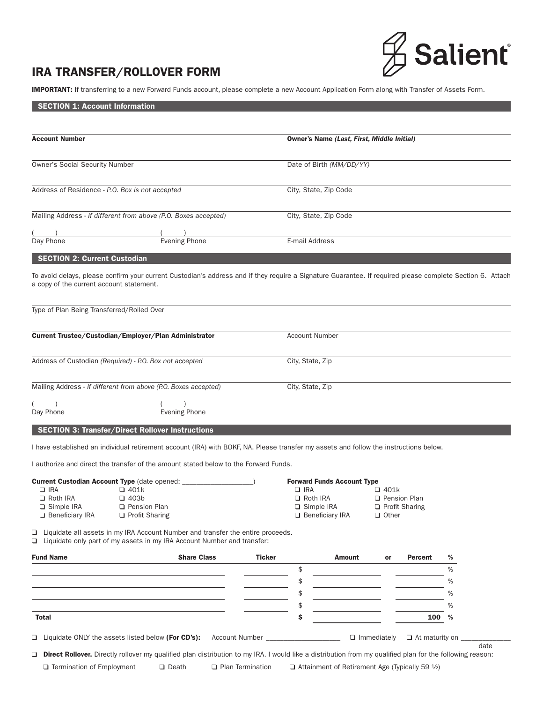# IRA TRANSFER/ROLLOVER FORM



IMPORTANT: If transferring to a new Forward Funds account, please complete a new Account Application Form along with Transfer of Assets Form.

# SECTION 1: Account Information

| <b>Owner's Social Security Number</b><br>Date of Birth (MM/DD/YY)<br>Address of Residence - P.O. Box is not accepted<br>City, State, Zip Code<br>Mailing Address - If different from above (P.O. Boxes accepted)<br>City, State, Zip Code<br>$\frac{1}{2}$ Evening Phone<br>Day Phone<br>E-mail Address<br><b>SECTION 2: Current Custodian</b><br>To avoid delays, please confirm your current Custodian's address and if they require a Signature Guarantee. If required please complete Section 6. Attach<br>a copy of the current account statement.<br>Type of Plan Being Transferred/Rolled Over<br>Current Trustee/Custodian/Employer/Plan Administrator<br><b>Account Number</b><br>Address of Custodian (Required) - P.O. Box not accepted<br>City, State, Zip<br>Mailing Address - If different from above (P.O. Boxes accepted)<br>City, State, Zip<br>$\frac{1}{2}$ Evening Phone<br>Day Phone<br><b>SECTION 3: Transfer/Direct Rollover Instructions</b><br>I have established an individual retirement account (IRA) with BOKF, NA. Please transfer my assets and follow the instructions below.<br>I authorize and direct the transfer of the amount stated below to the Forward Funds.<br><b>Current Custodian Account Type (date opened:</b><br><b>Forward Funds Account Type</b><br>$\Box$ IRA<br>$\Box$ 401k<br>$\Box$ IRA<br>$\Box$ 401k<br>Roth IRA<br>$\Box$ 403b<br>$\Box$ Roth IRA<br><b>Q</b> Pension Plan<br>$\Box$ Simple IRA<br><b>Q</b> Pension Plan<br>$\Box$ Simple IRA<br>$\Box$ Profit Sharing<br>$\Box$ Beneficiary IRA<br>$\Box$ Beneficiary IRA<br>$\Box$ Profit Sharing<br>$\Box$ Other<br>Liquidate all assets in my IRA Account Number and transfer the entire proceeds.<br>$\Box$<br>Liquidate only part of my assets in my IRA Account Number and transfer:<br>□<br><b>Share Class</b><br><b>Ticker</b><br><b>Fund Name</b><br><b>Percent</b><br>%<br>Amount<br>or<br>%<br>\$<br>\$<br>%<br>%<br>\$<br>\$<br>%<br>\$<br>100<br>%<br>Total<br>$\Box$ Liquidate ONLY the assets listed below (For CD's):<br>$\Box$ Immediately<br>$\Box$ At maturity on $\Box$ | <b>Account Number</b> |  |  | <b>Owner's Name (Last, First, Middle Initial)</b> |  |  |  |  |      |
|------------------------------------------------------------------------------------------------------------------------------------------------------------------------------------------------------------------------------------------------------------------------------------------------------------------------------------------------------------------------------------------------------------------------------------------------------------------------------------------------------------------------------------------------------------------------------------------------------------------------------------------------------------------------------------------------------------------------------------------------------------------------------------------------------------------------------------------------------------------------------------------------------------------------------------------------------------------------------------------------------------------------------------------------------------------------------------------------------------------------------------------------------------------------------------------------------------------------------------------------------------------------------------------------------------------------------------------------------------------------------------------------------------------------------------------------------------------------------------------------------------------------------------------------------------------------------------------------------------------------------------------------------------------------------------------------------------------------------------------------------------------------------------------------------------------------------------------------------------------------------------------------------------------------------------------------------------------------------------------------------------------------------------------------------------------------------------------------------|-----------------------|--|--|---------------------------------------------------|--|--|--|--|------|
|                                                                                                                                                                                                                                                                                                                                                                                                                                                                                                                                                                                                                                                                                                                                                                                                                                                                                                                                                                                                                                                                                                                                                                                                                                                                                                                                                                                                                                                                                                                                                                                                                                                                                                                                                                                                                                                                                                                                                                                                                                                                                                      |                       |  |  |                                                   |  |  |  |  |      |
|                                                                                                                                                                                                                                                                                                                                                                                                                                                                                                                                                                                                                                                                                                                                                                                                                                                                                                                                                                                                                                                                                                                                                                                                                                                                                                                                                                                                                                                                                                                                                                                                                                                                                                                                                                                                                                                                                                                                                                                                                                                                                                      |                       |  |  |                                                   |  |  |  |  |      |
|                                                                                                                                                                                                                                                                                                                                                                                                                                                                                                                                                                                                                                                                                                                                                                                                                                                                                                                                                                                                                                                                                                                                                                                                                                                                                                                                                                                                                                                                                                                                                                                                                                                                                                                                                                                                                                                                                                                                                                                                                                                                                                      |                       |  |  |                                                   |  |  |  |  |      |
|                                                                                                                                                                                                                                                                                                                                                                                                                                                                                                                                                                                                                                                                                                                                                                                                                                                                                                                                                                                                                                                                                                                                                                                                                                                                                                                                                                                                                                                                                                                                                                                                                                                                                                                                                                                                                                                                                                                                                                                                                                                                                                      |                       |  |  |                                                   |  |  |  |  |      |
|                                                                                                                                                                                                                                                                                                                                                                                                                                                                                                                                                                                                                                                                                                                                                                                                                                                                                                                                                                                                                                                                                                                                                                                                                                                                                                                                                                                                                                                                                                                                                                                                                                                                                                                                                                                                                                                                                                                                                                                                                                                                                                      |                       |  |  |                                                   |  |  |  |  |      |
|                                                                                                                                                                                                                                                                                                                                                                                                                                                                                                                                                                                                                                                                                                                                                                                                                                                                                                                                                                                                                                                                                                                                                                                                                                                                                                                                                                                                                                                                                                                                                                                                                                                                                                                                                                                                                                                                                                                                                                                                                                                                                                      |                       |  |  |                                                   |  |  |  |  |      |
|                                                                                                                                                                                                                                                                                                                                                                                                                                                                                                                                                                                                                                                                                                                                                                                                                                                                                                                                                                                                                                                                                                                                                                                                                                                                                                                                                                                                                                                                                                                                                                                                                                                                                                                                                                                                                                                                                                                                                                                                                                                                                                      |                       |  |  |                                                   |  |  |  |  |      |
|                                                                                                                                                                                                                                                                                                                                                                                                                                                                                                                                                                                                                                                                                                                                                                                                                                                                                                                                                                                                                                                                                                                                                                                                                                                                                                                                                                                                                                                                                                                                                                                                                                                                                                                                                                                                                                                                                                                                                                                                                                                                                                      |                       |  |  |                                                   |  |  |  |  |      |
|                                                                                                                                                                                                                                                                                                                                                                                                                                                                                                                                                                                                                                                                                                                                                                                                                                                                                                                                                                                                                                                                                                                                                                                                                                                                                                                                                                                                                                                                                                                                                                                                                                                                                                                                                                                                                                                                                                                                                                                                                                                                                                      |                       |  |  |                                                   |  |  |  |  |      |
|                                                                                                                                                                                                                                                                                                                                                                                                                                                                                                                                                                                                                                                                                                                                                                                                                                                                                                                                                                                                                                                                                                                                                                                                                                                                                                                                                                                                                                                                                                                                                                                                                                                                                                                                                                                                                                                                                                                                                                                                                                                                                                      |                       |  |  |                                                   |  |  |  |  |      |
|                                                                                                                                                                                                                                                                                                                                                                                                                                                                                                                                                                                                                                                                                                                                                                                                                                                                                                                                                                                                                                                                                                                                                                                                                                                                                                                                                                                                                                                                                                                                                                                                                                                                                                                                                                                                                                                                                                                                                                                                                                                                                                      |                       |  |  |                                                   |  |  |  |  |      |
|                                                                                                                                                                                                                                                                                                                                                                                                                                                                                                                                                                                                                                                                                                                                                                                                                                                                                                                                                                                                                                                                                                                                                                                                                                                                                                                                                                                                                                                                                                                                                                                                                                                                                                                                                                                                                                                                                                                                                                                                                                                                                                      |                       |  |  |                                                   |  |  |  |  |      |
|                                                                                                                                                                                                                                                                                                                                                                                                                                                                                                                                                                                                                                                                                                                                                                                                                                                                                                                                                                                                                                                                                                                                                                                                                                                                                                                                                                                                                                                                                                                                                                                                                                                                                                                                                                                                                                                                                                                                                                                                                                                                                                      |                       |  |  |                                                   |  |  |  |  |      |
|                                                                                                                                                                                                                                                                                                                                                                                                                                                                                                                                                                                                                                                                                                                                                                                                                                                                                                                                                                                                                                                                                                                                                                                                                                                                                                                                                                                                                                                                                                                                                                                                                                                                                                                                                                                                                                                                                                                                                                                                                                                                                                      |                       |  |  |                                                   |  |  |  |  |      |
|                                                                                                                                                                                                                                                                                                                                                                                                                                                                                                                                                                                                                                                                                                                                                                                                                                                                                                                                                                                                                                                                                                                                                                                                                                                                                                                                                                                                                                                                                                                                                                                                                                                                                                                                                                                                                                                                                                                                                                                                                                                                                                      |                       |  |  |                                                   |  |  |  |  |      |
|                                                                                                                                                                                                                                                                                                                                                                                                                                                                                                                                                                                                                                                                                                                                                                                                                                                                                                                                                                                                                                                                                                                                                                                                                                                                                                                                                                                                                                                                                                                                                                                                                                                                                                                                                                                                                                                                                                                                                                                                                                                                                                      |                       |  |  |                                                   |  |  |  |  |      |
|                                                                                                                                                                                                                                                                                                                                                                                                                                                                                                                                                                                                                                                                                                                                                                                                                                                                                                                                                                                                                                                                                                                                                                                                                                                                                                                                                                                                                                                                                                                                                                                                                                                                                                                                                                                                                                                                                                                                                                                                                                                                                                      |                       |  |  |                                                   |  |  |  |  |      |
|                                                                                                                                                                                                                                                                                                                                                                                                                                                                                                                                                                                                                                                                                                                                                                                                                                                                                                                                                                                                                                                                                                                                                                                                                                                                                                                                                                                                                                                                                                                                                                                                                                                                                                                                                                                                                                                                                                                                                                                                                                                                                                      |                       |  |  |                                                   |  |  |  |  |      |
|                                                                                                                                                                                                                                                                                                                                                                                                                                                                                                                                                                                                                                                                                                                                                                                                                                                                                                                                                                                                                                                                                                                                                                                                                                                                                                                                                                                                                                                                                                                                                                                                                                                                                                                                                                                                                                                                                                                                                                                                                                                                                                      |                       |  |  |                                                   |  |  |  |  |      |
|                                                                                                                                                                                                                                                                                                                                                                                                                                                                                                                                                                                                                                                                                                                                                                                                                                                                                                                                                                                                                                                                                                                                                                                                                                                                                                                                                                                                                                                                                                                                                                                                                                                                                                                                                                                                                                                                                                                                                                                                                                                                                                      |                       |  |  |                                                   |  |  |  |  |      |
|                                                                                                                                                                                                                                                                                                                                                                                                                                                                                                                                                                                                                                                                                                                                                                                                                                                                                                                                                                                                                                                                                                                                                                                                                                                                                                                                                                                                                                                                                                                                                                                                                                                                                                                                                                                                                                                                                                                                                                                                                                                                                                      |                       |  |  |                                                   |  |  |  |  |      |
|                                                                                                                                                                                                                                                                                                                                                                                                                                                                                                                                                                                                                                                                                                                                                                                                                                                                                                                                                                                                                                                                                                                                                                                                                                                                                                                                                                                                                                                                                                                                                                                                                                                                                                                                                                                                                                                                                                                                                                                                                                                                                                      |                       |  |  |                                                   |  |  |  |  |      |
|                                                                                                                                                                                                                                                                                                                                                                                                                                                                                                                                                                                                                                                                                                                                                                                                                                                                                                                                                                                                                                                                                                                                                                                                                                                                                                                                                                                                                                                                                                                                                                                                                                                                                                                                                                                                                                                                                                                                                                                                                                                                                                      |                       |  |  |                                                   |  |  |  |  |      |
|                                                                                                                                                                                                                                                                                                                                                                                                                                                                                                                                                                                                                                                                                                                                                                                                                                                                                                                                                                                                                                                                                                                                                                                                                                                                                                                                                                                                                                                                                                                                                                                                                                                                                                                                                                                                                                                                                                                                                                                                                                                                                                      |                       |  |  |                                                   |  |  |  |  |      |
|                                                                                                                                                                                                                                                                                                                                                                                                                                                                                                                                                                                                                                                                                                                                                                                                                                                                                                                                                                                                                                                                                                                                                                                                                                                                                                                                                                                                                                                                                                                                                                                                                                                                                                                                                                                                                                                                                                                                                                                                                                                                                                      |                       |  |  |                                                   |  |  |  |  |      |
|                                                                                                                                                                                                                                                                                                                                                                                                                                                                                                                                                                                                                                                                                                                                                                                                                                                                                                                                                                                                                                                                                                                                                                                                                                                                                                                                                                                                                                                                                                                                                                                                                                                                                                                                                                                                                                                                                                                                                                                                                                                                                                      |                       |  |  |                                                   |  |  |  |  |      |
|                                                                                                                                                                                                                                                                                                                                                                                                                                                                                                                                                                                                                                                                                                                                                                                                                                                                                                                                                                                                                                                                                                                                                                                                                                                                                                                                                                                                                                                                                                                                                                                                                                                                                                                                                                                                                                                                                                                                                                                                                                                                                                      |                       |  |  |                                                   |  |  |  |  |      |
|                                                                                                                                                                                                                                                                                                                                                                                                                                                                                                                                                                                                                                                                                                                                                                                                                                                                                                                                                                                                                                                                                                                                                                                                                                                                                                                                                                                                                                                                                                                                                                                                                                                                                                                                                                                                                                                                                                                                                                                                                                                                                                      |                       |  |  |                                                   |  |  |  |  |      |
|                                                                                                                                                                                                                                                                                                                                                                                                                                                                                                                                                                                                                                                                                                                                                                                                                                                                                                                                                                                                                                                                                                                                                                                                                                                                                                                                                                                                                                                                                                                                                                                                                                                                                                                                                                                                                                                                                                                                                                                                                                                                                                      |                       |  |  |                                                   |  |  |  |  | date |

Direct Rollover. Directly rollover my qualified plan distribution to my IRA. I would like a distribution from my qualified plan for the following reason: Termination of Employment Death Plan Termination Attainment of Retirement Age (Typically 59 ½)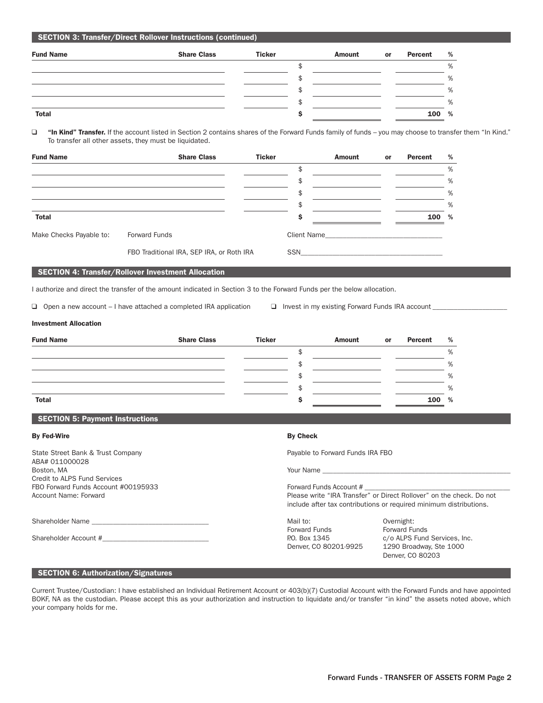| SECTION 3: Transfer/Direct Rollover Instructions (continued) |                    |               |        |    |         |   |
|--------------------------------------------------------------|--------------------|---------------|--------|----|---------|---|
| <b>Fund Name</b>                                             | <b>Share Class</b> | <b>Ticker</b> | Amount | or | Percent | % |
|                                                              |                    |               |        |    |         | % |
|                                                              |                    |               |        |    |         | % |
|                                                              |                    |               |        |    |         | % |
|                                                              |                    |               |        |    |         | % |
| <b>Total</b>                                                 |                    |               |        |    | 100     | % |

"In Kind" Transfer. If the account listed in Section 2 contains shares of the Forward Funds family of funds - you may choose to transfer them "In Kind." To transfer all other assets, they must be liquidated.

| <b>Fund Name</b>        | <b>Share Class</b>                        | <b>Ticker</b>      | <b>Amount</b> | <b>or</b> | Percent | % |
|-------------------------|-------------------------------------------|--------------------|---------------|-----------|---------|---|
|                         |                                           | \$                 |               |           |         | % |
|                         |                                           | \$                 |               |           |         | % |
|                         |                                           | \$                 |               |           |         | % |
|                         |                                           | \$                 |               |           |         | % |
| <b>Total</b>            |                                           |                    |               |           | 100 %   |   |
| Make Checks Payable to: | Forward Funds                             | <b>Client Name</b> |               |           |         |   |
|                         | FBO Traditional IRA, SEP IRA, or Roth IRA | SSN                |               |           |         |   |

# SECTION 4: Transfer/Rollover Investment Allocation

I authorize and direct the transfer of the amount indicated in Section 3 to the Forward Funds per the below allocation.

□ Open a new account – I have attached a completed IRA application □ Invest in my existing Forward Funds IRA account

## Investment Allocation

| <b>Fund Name</b> | <b>Share Class</b> | <b>Ticker</b> | <b>Amount</b> | or | Percent       | % |
|------------------|--------------------|---------------|---------------|----|---------------|---|
|                  |                    |               |               |    |               | % |
|                  |                    |               |               |    |               | % |
|                  |                    |               |               |    |               | % |
|                  |                    |               |               |    |               | % |
| <b>Total</b>     |                    |               |               |    | 100<br>______ | % |

# SECTION 5: Payment Instructions

| <b>By Fed-Wire</b>                                  | <b>By Check</b>                                                                                                                            |                                             |  |  |  |
|-----------------------------------------------------|--------------------------------------------------------------------------------------------------------------------------------------------|---------------------------------------------|--|--|--|
| State Street Bank & Trust Company<br>ABA# 011000028 | Payable to Forward Funds IRA FBO                                                                                                           |                                             |  |  |  |
| Boston, MA                                          |                                                                                                                                            |                                             |  |  |  |
| Credit to ALPS Fund Services                        |                                                                                                                                            |                                             |  |  |  |
| FBO Forward Funds Account #00195933                 | Forward Funds Account #                                                                                                                    |                                             |  |  |  |
| Account Name: Forward                               | Please write "IRA Transfer" or Direct Rollover" on the check. Do not<br>include after tax contributions or required minimum distributions. |                                             |  |  |  |
| Shareholder Name <b>Shareholder</b> Name            | Mail to:                                                                                                                                   | Overnight:                                  |  |  |  |
|                                                     | Forward Funds                                                                                                                              | Forward Funds                               |  |  |  |
|                                                     | P.O. Box 1345                                                                                                                              | c/o ALPS Fund Services, Inc.                |  |  |  |
|                                                     | Denver, CO 80201-9925                                                                                                                      | 1290 Broadway, Ste 1000<br>Denver, CO 80203 |  |  |  |

## SECTION 6: Authorization/Signatures

Current Trustee/Custodian: I have established an Individual Retirement Account or 403(b)(7) Custodial Account with the Forward Funds and have appointed BOKF, NA as the custodian. Please accept this as your authorization and instruction to liquidate and/or transfer "in kind" the assets noted above, which your company holds for me.